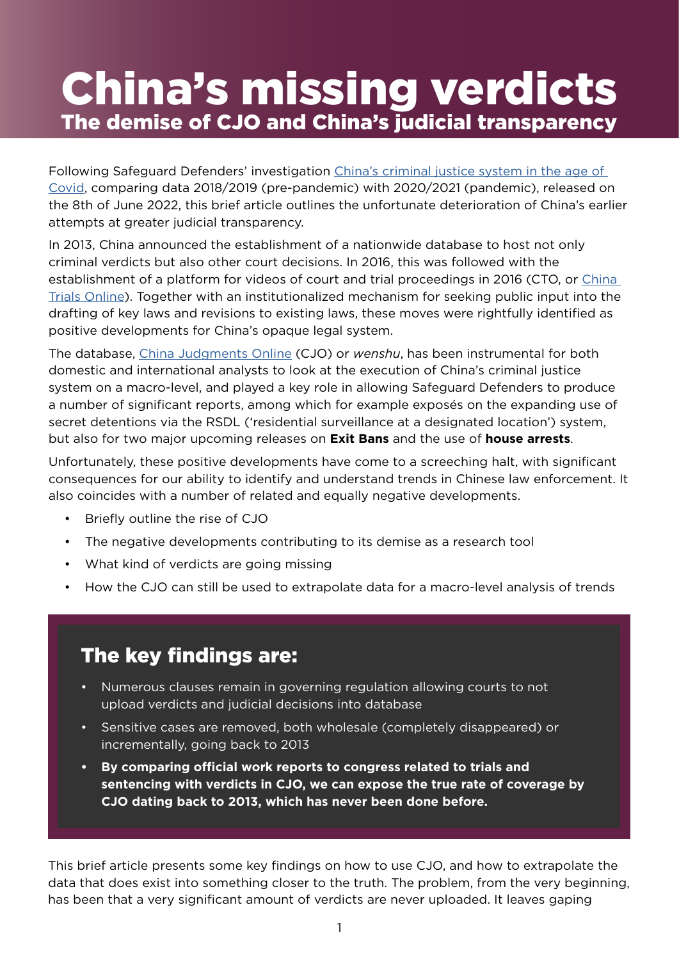# China's missing verdicts The demise of CJO and China's judicial transparency

Following Safeguard Defenders' investigation [China's criminal justice system in the age of](https://safeguarddefenders.com/en/blog/china-s-criminal-justice-system-age-covid)  [Covid,](https://safeguarddefenders.com/en/blog/china-s-criminal-justice-system-age-covid) comparing data 2018/2019 (pre-pandemic) with 2020/2021 (pandemic), released on the 8th of June 2022, this brief article outlines the unfortunate deterioration of China's earlier attempts at greater judicial transparency.

In 2013, China announced the establishment of a nationwide database to host not only criminal verdicts but also other court decisions. In 2016, this was followed with the establishment of a platform for videos of court and trial proceedings in 2016 (CTO, or China [Trials Online\)](http://tingshen.court.gov.cn/). Together with an institutionalized mechanism for seeking public input into the drafting of key laws and revisions to existing laws, these moves were rightfully identified as positive developments for China's opaque legal system.

The database, [China Judgments Online](https://wenshu.court.gov.cn/) (CJO) or *wenshu*, has been instrumental for both domestic and international analysts to look at the execution of China's criminal justice system on a macro-level, and played a key role in allowing Safeguard Defenders to produce a number of significant reports, among which for example exposés on the expanding use of secret detentions via the RSDL ('residential surveillance at a designated location') system, but also for two major upcoming releases on **Exit Bans** and the use of **house arrests**.

Unfortunately, these positive developments have come to a screeching halt, with significant consequences for our ability to identify and understand trends in Chinese law enforcement. It also coincides with a number of related and equally negative developments.

- Briefly outline the rise of CJO
- The negative developments contributing to its demise as a research tool
- What kind of verdicts are going missing
- How the CJO can still be used to extrapolate data for a macro-level analysis of trends

# The key findings are:

- Numerous clauses remain in governing regulation allowing courts to not upload verdicts and judicial decisions into database
- Sensitive cases are removed, both wholesale (completely disappeared) or incrementally, going back to 2013
- **• By comparing official work reports to congress related to trials and sentencing with verdicts in CJO, we can expose the true rate of coverage by CJO dating back to 2013, which has never been done before.**

This brief article presents some key findings on how to use CJO, and how to extrapolate the data that does exist into something closer to the truth. The problem, from the very beginning, has been that a very significant amount of verdicts are never uploaded. It leaves gaping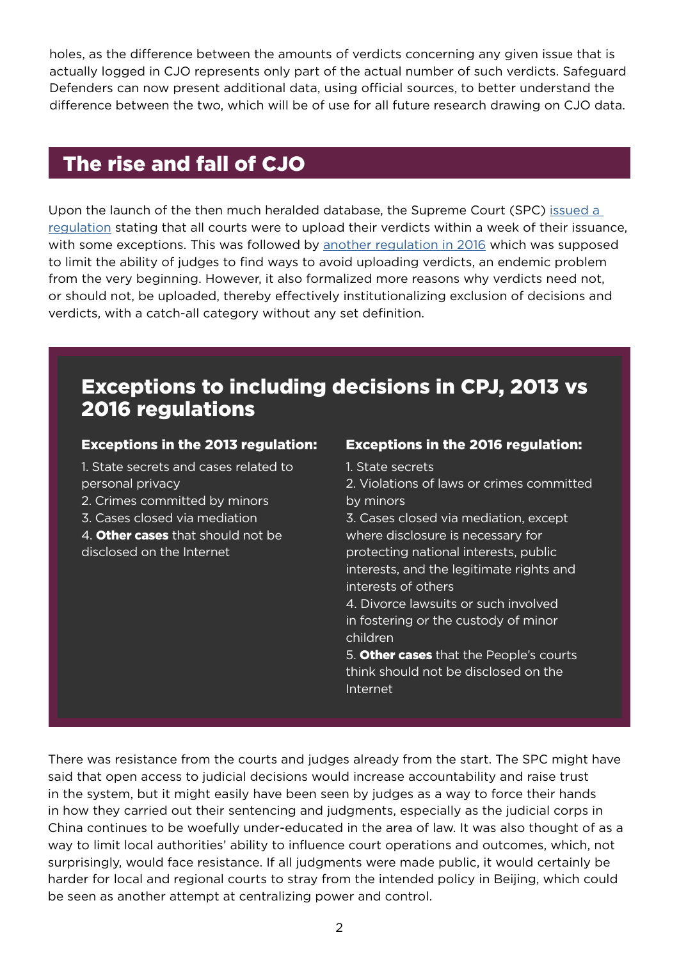holes, as the difference between the amounts of verdicts concerning any given issue that is actually logged in CJO represents only part of the actual number of such verdicts. Safeguard Defenders can now present additional data, using official sources, to better understand the difference between the two, which will be of use for all future research drawing on CJO data.

## The rise and fall of CJO

Upon the launch of the then much heralded database, the Supreme Court (SPC) [issued a](https://www.court.gov.cn/zixun-xiangqing-5867.html)  [regulation](https://www.court.gov.cn/zixun-xiangqing-5867.html) stating that all courts were to upload their verdicts within a week of their issuance, with some exceptions. This was followed by [another regulation in 2016](https://www.court.gov.cn/zixun-xiangqing-25321.html) which was supposed to limit the ability of judges to find ways to avoid uploading verdicts, an endemic problem from the very beginning. However, it also formalized more reasons why verdicts need not, or should not, be uploaded, thereby effectively institutionalizing exclusion of decisions and verdicts, with a catch-all category without any set definition.

### Exceptions to including decisions in CPJ, 2013 vs 2016 regulations

#### Exceptions in the 2013 regulation:

1. State secrets and cases related to personal privacy

2. Crimes committed by minors

3. Cases closed via mediation

4. **Other cases** that should not be disclosed on the Internet

#### Exceptions in the 2016 regulation:

1. State secrets

2. Violations of laws or crimes committed by minors

3. Cases closed via mediation, except where disclosure is necessary for protecting national interests, public interests, and the legitimate rights and interests of others

4. Divorce lawsuits or such involved in fostering or the custody of minor children

5. Other cases that the People's courts think should not be disclosed on the Internet

There was resistance from the courts and judges already from the start. The SPC might have said that open access to judicial decisions would increase accountability and raise trust in the system, but it might easily have been seen by judges as a way to force their hands in how they carried out their sentencing and judgments, especially as the judicial corps in China continues to be woefully under-educated in the area of law. It was also thought of as a way to limit local authorities' ability to influence court operations and outcomes, which, not surprisingly, would face resistance. If all judgments were made public, it would certainly be harder for local and regional courts to stray from the intended policy in Beijing, which could be seen as another attempt at centralizing power and control.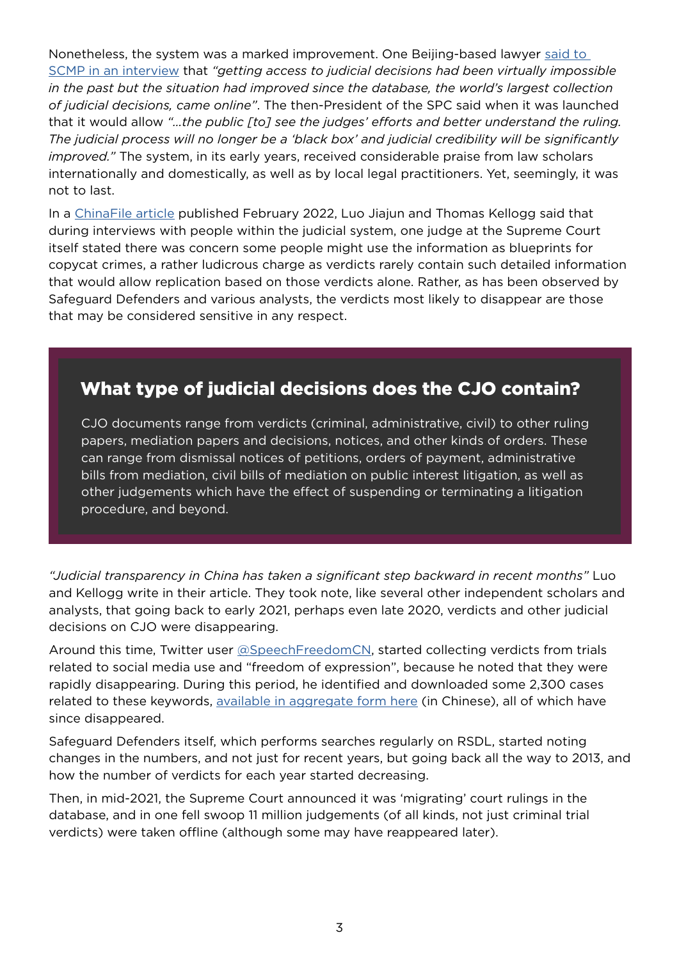Nonetheless, the system was a marked improvement. One Beijing-based lawyer [said to](https://www.scmp.com/news/china/politics/article/3127001/how-chinas-supreme-court-tried-open-legal-black-box-let-light)  [SCMP in an interview](https://www.scmp.com/news/china/politics/article/3127001/how-chinas-supreme-court-tried-open-legal-black-box-let-light) that *"getting access to judicial decisions had been virtually impossible in the past but the situation had improved since the database, the world's largest collection of judicial decisions, came online"*. The then-President of the SPC said when it was launched that it would allow *"…the public [to] see the judges' efforts and better understand the ruling. The judicial process will no longer be a 'black box' and judicial credibility will be significantly improved."* The system, in its early years, received considerable praise from law scholars internationally and domestically, as well as by local legal practitioners. Yet, seemingly, it was not to last.

In a [ChinaFile article](https://www.chinafile.com/reporting-opinion/viewpoint/verdicts-chinas-courts-used-be-accessible-online-now-theyre-disappearing) published February 2022, Luo Jiajun and Thomas Kellogg said that during interviews with people within the judicial system, one judge at the Supreme Court itself stated there was concern some people might use the information as blueprints for copycat crimes, a rather ludicrous charge as verdicts rarely contain such detailed information that would allow replication based on those verdicts alone. Rather, as has been observed by Safeguard Defenders and various analysts, the verdicts most likely to disappear are those that may be considered sensitive in any respect.

### What type of judicial decisions does the CJO contain?

CJO documents range from verdicts (criminal, administrative, civil) to other ruling papers, mediation papers and decisions, notices, and other kinds of orders. These can range from dismissal notices of petitions, orders of payment, administrative bills from mediation, civil bills of mediation on public interest litigation, as well as other judgements which have the effect of suspending or terminating a litigation procedure, and beyond.

*"Judicial transparency in China has taken a significant step backward in recent months"* Luo and Kellogg write in their article. They took note, like several other independent scholars and analysts, that going back to early 2021, perhaps even late 2020, verdicts and other judicial decisions on CJO were disappearing.

Around this time, Twitter user [@SpeechFreedomCN,](https://twitter.com/SpeechFreedomCN) started collecting verdicts from trials related to social media use and "freedom of expression", because he noted that they were rapidly disappearing. During this period, he identified and downloaded some 2,300 cases related to these keywords, [available in aggregate form here](https://docs.google.com/spreadsheets/d/1CQBeBpP2-A45lw-zr6mneDuPtSBNWg_8KqgXpWMLcbo/edit#gid=0) (in Chinese), all of which have since disappeared.

Safeguard Defenders itself, which performs searches regularly on RSDL, started noting changes in the numbers, and not just for recent years, but going back all the way to 2013, and how the number of verdicts for each year started decreasing.

Then, in mid-2021, the Supreme Court announced it was 'migrating' court rulings in the database, and in one fell swoop 11 million judgements (of all kinds, not just criminal trial verdicts) were taken offline (although some may have reappeared later).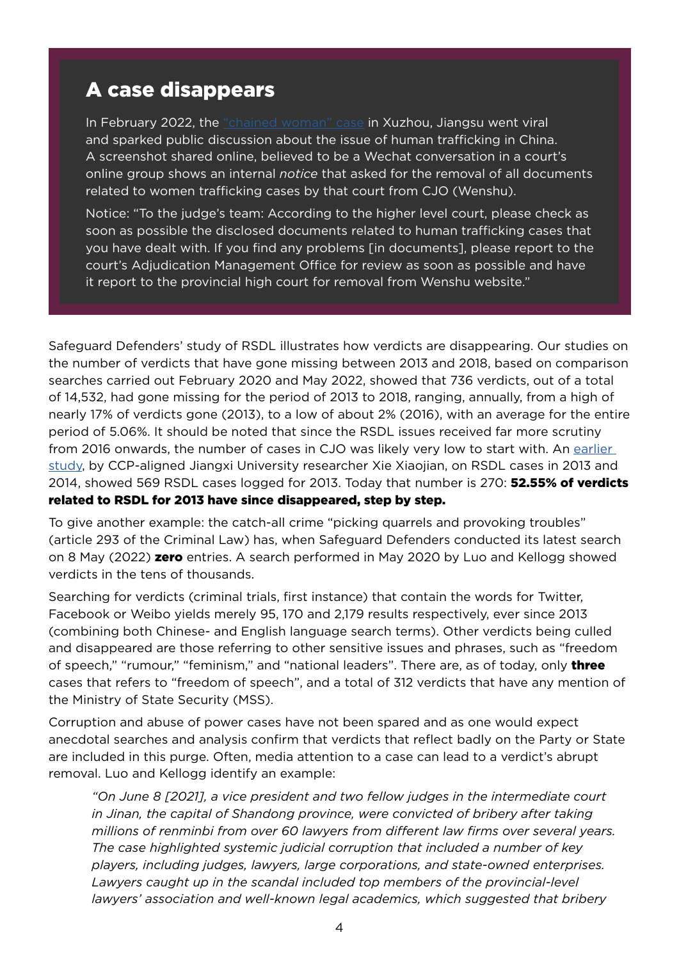### A case disappears

In February 2022, the ["chained woman" case](https://www.washingtonpost.com/world/2022/02/25/xuzhou-chained-woman-china/) in Xuzhou, Jiangsu went viral and sparked public discussion about the issue of human trafficking in China. A screenshot shared online, believed to be a Wechat conversation in a court's online group shows an internal *notice* that asked for the removal of all documents related to women trafficking cases by that court from CJO (Wenshu).

Notice: "To the judge's team: According to the higher level court, please check as soon as possible the disclosed documents related to human trafficking cases that you have dealt with. If you find any problems [in documents], please report to the court's Adjudication Management Office for review as soon as possible and have it report to the provincial high court for removal from Wenshu website."

Safeguard Defenders' study of RSDL illustrates how verdicts are disappearing. Our studies on the number of verdicts that have gone missing between 2013 and 2018, based on comparison searches carried out February 2020 and May 2022, showed that 736 verdicts, out of a total of 14,532, had gone missing for the period of 2013 to 2018, ranging, annually, from a high of nearly 17% of verdicts gone (2013), to a low of about 2% (2016), with an average for the entire period of 5.06%. It should be noted that since the RSDL issues received far more scrutiny from 2016 onwards, the number of cases in CJO was likely very low to start with. An earlier [study,](https://mp.weixin.qq.com/s/WVlg_qoEBYKoVnpXRUBGGw) by CCP-aligned Jiangxi University researcher Xie Xiaojian, on RSDL cases in 2013 and 2014, showed 569 RSDL cases logged for 2013. Today that number is 270: **52.55% of verdicts** related to RSDL for 2013 have since disappeared, step by step.

To give another example: the catch-all crime "picking quarrels and provoking troubles" (article 293 of the Criminal Law) has, when Safeguard Defenders conducted its latest search on 8 May (2022) **zero** entries. A search performed in May 2020 by Luo and Kellogg showed verdicts in the tens of thousands.

Searching for verdicts (criminal trials, first instance) that contain the words for Twitter, Facebook or Weibo yields merely 95, 170 and 2,179 results respectively, ever since 2013 (combining both Chinese- and English language search terms). Other verdicts being culled and disappeared are those referring to other sensitive issues and phrases, such as "freedom of speech," "rumour," "feminism," and "national leaders". There are, as of today, only three cases that refers to "freedom of speech", and a total of 312 verdicts that have any mention of the Ministry of State Security (MSS).

Corruption and abuse of power cases have not been spared and as one would expect anecdotal searches and analysis confirm that verdicts that reflect badly on the Party or State are included in this purge. Often, media attention to a case can lead to a verdict's abrupt removal. Luo and Kellogg identify an example:

*"On June 8 [2021], a vice president and two fellow judges in the intermediate court in Jinan, the capital of Shandong province, were convicted of bribery after taking millions of renminbi from over 60 lawyers from different law firms over several years. The case highlighted systemic judicial corruption that included a number of key players, including judges, lawyers, large corporations, and state-owned enterprises.*  Lawyers caught up in the scandal included top members of the provincial-level *lawyers' association and well-known legal academics, which suggested that bribery*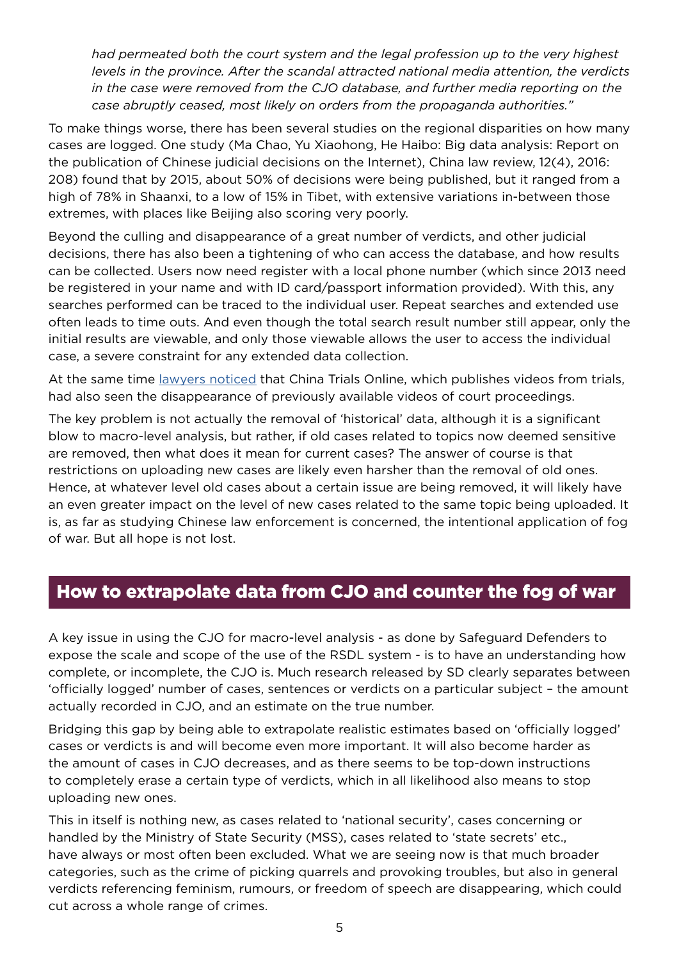*had permeated both the court system and the legal profession up to the very highest levels in the province. After the scandal attracted national media attention, the verdicts in the case were removed from the CJO database, and further media reporting on the case abruptly ceased, most likely on orders from the propaganda authorities."*

To make things worse, there has been several studies on the regional disparities on how many cases are logged. One study (Ma Chao, Yu Xiaohong, He Haibo: Big data analysis: Report on the publication of Chinese judicial decisions on the Internet), China law review, 12(4), 2016: 208) found that by 2015, about 50% of decisions were being published, but it ranged from a high of 78% in Shaanxi, to a low of 15% in Tibet, with extensive variations in-between those extremes, with places like Beijing also scoring very poorly.

Beyond the culling and disappearance of a great number of verdicts, and other judicial decisions, there has also been a tightening of who can access the database, and how results can be collected. Users now need register with a local phone number (which since 2013 need be registered in your name and with ID card/passport information provided). With this, any searches performed can be traced to the individual user. Repeat searches and extended use often leads to time outs. And even though the total search result number still appear, only the initial results are viewable, and only those viewable allows the user to access the individual case, a severe constraint for any extended data collection.

At the same time *lawyers noticed* that China Trials Online, which publishes videos from trials, had also seen the disappearance of previously available videos of court proceedings.

The key problem is not actually the removal of 'historical' data, although it is a significant blow to macro-level analysis, but rather, if old cases related to topics now deemed sensitive are removed, then what does it mean for current cases? The answer of course is that restrictions on uploading new cases are likely even harsher than the removal of old ones. Hence, at whatever level old cases about a certain issue are being removed, it will likely have an even greater impact on the level of new cases related to the same topic being uploaded. It is, as far as studying Chinese law enforcement is concerned, the intentional application of fog of war. But all hope is not lost.

#### How to extrapolate data from CJO and counter the fog of war

A key issue in using the CJO for macro-level analysis - as done by Safeguard Defenders to expose the scale and scope of the use of the RSDL system - is to have an understanding how complete, or incomplete, the CJO is. Much research released by SD clearly separates between 'officially logged' number of cases, sentences or verdicts on a particular subject – the amount actually recorded in CJO, and an estimate on the true number.

Bridging this gap by being able to extrapolate realistic estimates based on 'officially logged' cases or verdicts is and will become even more important. It will also become harder as the amount of cases in CJO decreases, and as there seems to be top-down instructions to completely erase a certain type of verdicts, which in all likelihood also means to stop uploading new ones.

This in itself is nothing new, as cases related to 'national security', cases concerning or handled by the Ministry of State Security (MSS), cases related to 'state secrets' etc., have always or most often been excluded. What we are seeing now is that much broader categories, such as the crime of picking quarrels and provoking troubles, but also in general verdicts referencing feminism, rumours, or freedom of speech are disappearing, which could cut across a whole range of crimes.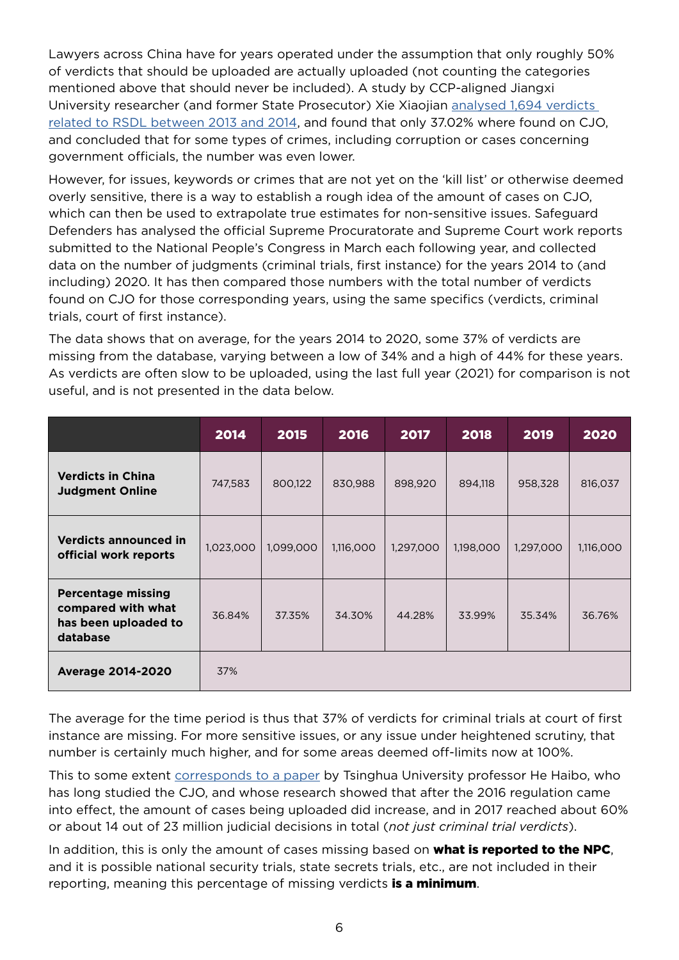Lawyers across China have for years operated under the assumption that only roughly 50% of verdicts that should be uploaded are actually uploaded (not counting the categories mentioned above that should never be included). A study by CCP-aligned Jiangxi University researcher (and former State Prosecutor) Xie Xiaojian analysed 1,694 verdicts [related to RSDL between 2013 and 2014,](http://law.sjtu.edu.cn/uploads/fckeditors/file/%E4%BA%A4%E5%A4%A7%E6%B3%95%E5%AD%A6/2018%E5%B9%B4%E7%AC%AC4%E6%9C%9F/20180412.pdf) and found that only 37.02% where found on CJO, and concluded that for some types of crimes, including corruption or cases concerning government officials, the number was even lower.

However, for issues, keywords or crimes that are not yet on the 'kill list' or otherwise deemed overly sensitive, there is a way to establish a rough idea of the amount of cases on CJO, which can then be used to extrapolate true estimates for non-sensitive issues. Safeguard Defenders has analysed the official Supreme Procuratorate and Supreme Court work reports submitted to the National People's Congress in March each following year, and collected data on the number of judgments (criminal trials, first instance) for the years 2014 to (and including) 2020. It has then compared those numbers with the total number of verdicts found on CJO for those corresponding years, using the same specifics (verdicts, criminal trials, court of first instance).

The data shows that on average, for the years 2014 to 2020, some 37% of verdicts are missing from the database, varying between a low of 34% and a high of 44% for these years. As verdicts are often slow to be uploaded, using the last full year (2021) for comparison is not useful, and is not presented in the data below.

|                                                                                     | 2014      | 2015      | 2016      | 2017      | 2018      | 2019      | 2020      |
|-------------------------------------------------------------------------------------|-----------|-----------|-----------|-----------|-----------|-----------|-----------|
| <b>Verdicts in China</b><br><b>Judgment Online</b>                                  | 747,583   | 800,122   | 830,988   | 898,920   | 894,118   | 958,328   | 816,037   |
| <b>Verdicts announced in</b><br>official work reports                               | 1,023,000 | 1,099,000 | 1,116,000 | 1,297,000 | 1,198,000 | 1,297,000 | 1,116,000 |
| <b>Percentage missing</b><br>compared with what<br>has been uploaded to<br>database | 36.84%    | 37.35%    | 34.30%    | 44.28%    | 33.99%    | 35.34%    | 36.76%    |
| <b>Average 2014-2020</b>                                                            | 37%       |           |           |           |           |           |           |

The average for the time period is thus that 37% of verdicts for criminal trials at court of first instance are missing. For more sensitive issues, or any issue under heightened scrutiny, that number is certainly much higher, and for some areas deemed off-limits now at 100%.

This to some extent [corresponds to a paper](https://www.scmp.com/news/china/politics/article/3127001/how-chinas-supreme-court-tried-open-legal-black-box-let-light) by Tsinghua University professor He Haibo, who has long studied the CJO, and whose research showed that after the 2016 regulation came into effect, the amount of cases being uploaded did increase, and in 2017 reached about 60% or about 14 out of 23 million judicial decisions in total (*not just criminal trial verdicts*).

In addition, this is only the amount of cases missing based on **what is reported to the NPC**, and it is possible national security trials, state secrets trials, etc., are not included in their reporting, meaning this percentage of missing verdicts is a minimum.